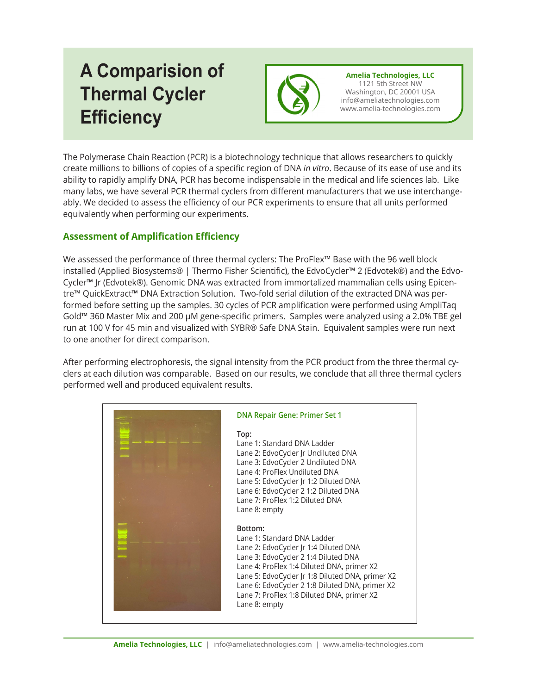## **A Comparision of Thermal Cycler Efficiency**



**Amelia Technologies, LLC** 1121 5th Street NW Washington, DC 20001 USA info@ameliatechnologies.com www.amelia-technologies.com

The Polymerase Chain Reaction (PCR) is a biotechnology technique that allows researchers to quickly create millions to billions of copies of a specific region of DNA *in vitro*. Because of its ease of use and its ability to rapidly amplify DNA, PCR has become indispensable in the medical and life sciences lab. Like many labs, we have several PCR thermal cyclers from different manufacturers that we use interchangeably. We decided to assess the efficiency of our PCR experiments to ensure that all units performed equivalently when performing our experiments.

## **Assessment of Amplification Efficiency**

We assessed the performance of three thermal cyclers: The ProFlex™ Base with the 96 well block installed (Applied Biosystems® | Thermo Fisher Scientific), the EdvoCycler™ 2 (Edvotek®) and the Edvo-Cycler™ Jr (Edvotek®). Genomic DNA was extracted from immortalized mammalian cells using Epicentre™ QuickExtract™ DNA Extraction Solution. Two-fold serial dilution of the extracted DNA was performed before setting up the samples. 30 cycles of PCR amplification were performed using AmpliTaq Gold™ 360 Master Mix and 200 µM gene-specific primers. Samples were analyzed using a 2.0% TBE gel run at 100 V for 45 min and visualized with SYBR® Safe DNA Stain. Equivalent samples were run next to one another for direct comparison.

After performing electrophoresis, the signal intensity from the PCR product from the three thermal cyclers at each dilution was comparable. Based on our results, we conclude that all three thermal cyclers performed well and produced equivalent results.

| <b>DNA Repair Gene: Primer Set 1</b>                                                                                                                                                                                                                                                                                                        |
|---------------------------------------------------------------------------------------------------------------------------------------------------------------------------------------------------------------------------------------------------------------------------------------------------------------------------------------------|
| Top:<br>Lane 1: Standard DNA Ladder<br>Lane 2: EdvoCycler Jr Undiluted DNA<br>Lane 3: EdvoCycler 2 Undiluted DNA<br>Lane 4: ProFlex Undiluted DNA<br>Lane 5: EdvoCycler Jr 1:2 Diluted DNA<br>Lane 6: EdvoCycler 2 1:2 Diluted DNA<br>Lane 7: ProFlex 1:2 Diluted DNA<br>Lane 8: empty                                                      |
| Bottom:<br>Lane 1: Standard DNA Ladder<br>Lane 2: EdvoCycler Jr 1:4 Diluted DNA<br>Lane 3: EdvoCycler 2 1:4 Diluted DNA<br>Lane 4: ProFlex 1:4 Diluted DNA, primer X2<br>Lane 5: EdvoCycler Jr 1:8 Diluted DNA, primer X2<br>Lane 6: EdvoCycler 2 1:8 Diluted DNA, primer X2<br>Lane 7: ProFlex 1:8 Diluted DNA, primer X2<br>Lane 8: empty |